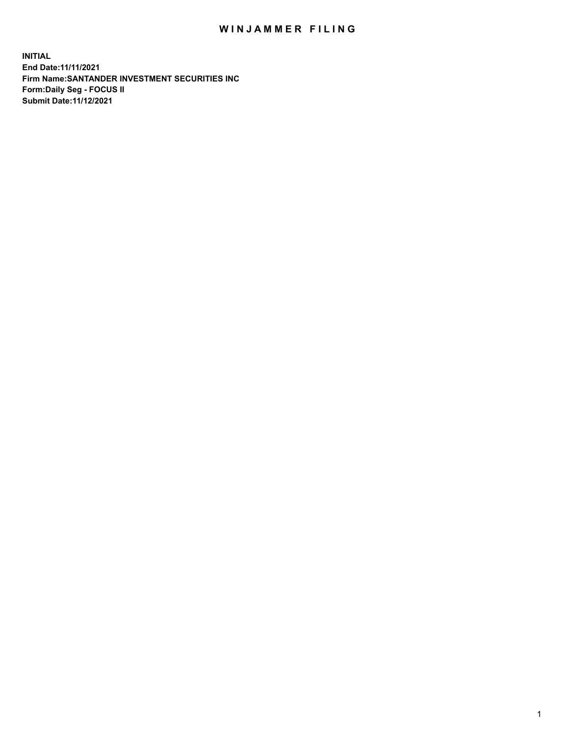## WIN JAMMER FILING

**INITIAL End Date:11/11/2021 Firm Name:SANTANDER INVESTMENT SECURITIES INC Form:Daily Seg - FOCUS II Submit Date:11/12/2021**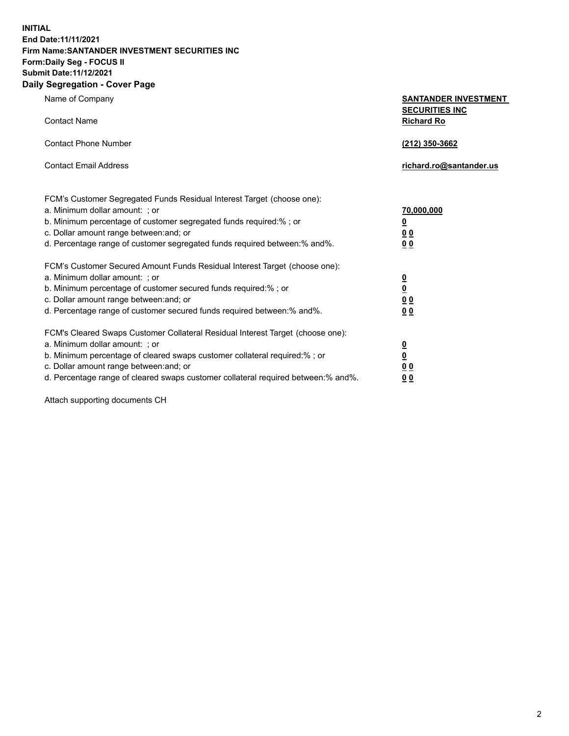**INITIAL End Date:11/11/2021 Firm Name:SANTANDER INVESTMENT SECURITIES INC Form:Daily Seg - FOCUS II Submit Date:11/12/2021 Daily Segregation - Cover Page**

Name of Company **SANTANDER INVESTMENT SECURITIES INC** Contact Name **Richard Ro** Contact Phone Number **(212) 350-3662** Contact Email Address **richard.ro@santander.us** FCM's Customer Segregated Funds Residual Interest Target (choose one): a. Minimum dollar amount: ; or **70,000,000** b. Minimum percentage of customer segregated funds required:% ; or **0** c. Dollar amount range between:and; or **0 0** d. Percentage range of customer segregated funds required between:% and%. **0 0** FCM's Customer Secured Amount Funds Residual Interest Target (choose one): a. Minimum dollar amount: ; or **0** b. Minimum percentage of customer secured funds required:% ; or **0** c. Dollar amount range between:and; or **0 0** d. Percentage range of customer secured funds required between:% and%. **0 0** FCM's Cleared Swaps Customer Collateral Residual Interest Target (choose one): a. Minimum dollar amount: ; or **0** b. Minimum percentage of cleared swaps customer collateral required:% ; or **0** c. Dollar amount range between:and; or **0 0** d. Percentage range of cleared swaps customer collateral required between:% and%. **0 0**

Attach supporting documents CH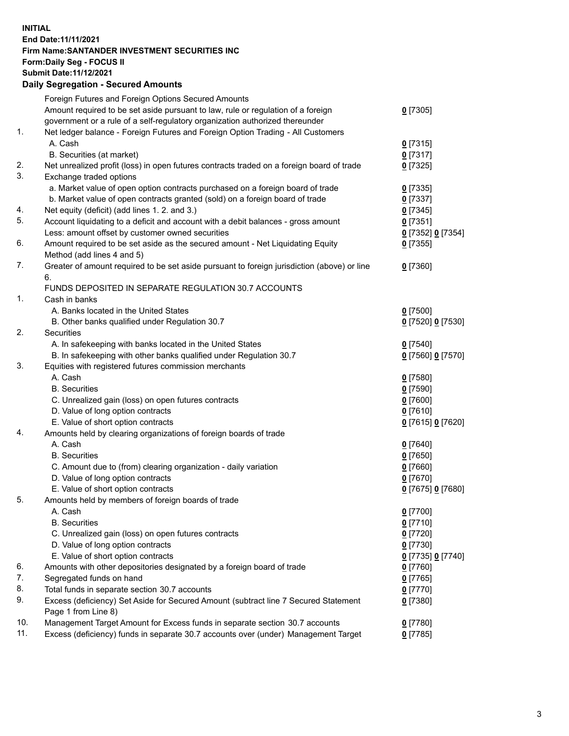## **INITIAL End Date:11/11/2021 Firm Name:SANTANDER INVESTMENT SECURITIES INC Form:Daily Seg - FOCUS II Submit Date:11/12/2021 Daily Segregation - Secured Amounts**

|     | Foreign Futures and Foreign Options Secured Amounts                                         |                   |
|-----|---------------------------------------------------------------------------------------------|-------------------|
|     | Amount required to be set aside pursuant to law, rule or regulation of a foreign            | $0$ [7305]        |
|     | government or a rule of a self-regulatory organization authorized thereunder                |                   |
| 1.  | Net ledger balance - Foreign Futures and Foreign Option Trading - All Customers             |                   |
|     | A. Cash                                                                                     | $0$ [7315]        |
|     | B. Securities (at market)                                                                   | $0$ [7317]        |
| 2.  | Net unrealized profit (loss) in open futures contracts traded on a foreign board of trade   | $0$ [7325]        |
| 3.  | Exchange traded options                                                                     |                   |
|     | a. Market value of open option contracts purchased on a foreign board of trade              | $0$ [7335]        |
|     | b. Market value of open contracts granted (sold) on a foreign board of trade                | $0$ [7337]        |
| 4.  | Net equity (deficit) (add lines 1. 2. and 3.)                                               | $0$ [7345]        |
| 5.  | Account liquidating to a deficit and account with a debit balances - gross amount           | $0$ [7351]        |
|     | Less: amount offset by customer owned securities                                            | 0 [7352] 0 [7354] |
| 6.  | Amount required to be set aside as the secured amount - Net Liquidating Equity              | $0$ [7355]        |
|     | Method (add lines 4 and 5)                                                                  |                   |
| 7.  | Greater of amount required to be set aside pursuant to foreign jurisdiction (above) or line | $0$ [7360]        |
|     | 6.                                                                                          |                   |
|     | FUNDS DEPOSITED IN SEPARATE REGULATION 30.7 ACCOUNTS                                        |                   |
| 1.  | Cash in banks                                                                               |                   |
|     | A. Banks located in the United States                                                       | $0$ [7500]        |
|     | B. Other banks qualified under Regulation 30.7                                              | 0 [7520] 0 [7530] |
| 2.  | Securities                                                                                  |                   |
|     | A. In safekeeping with banks located in the United States                                   | $0$ [7540]        |
|     | B. In safekeeping with other banks qualified under Regulation 30.7                          | 0 [7560] 0 [7570] |
| 3.  | Equities with registered futures commission merchants                                       |                   |
|     | A. Cash                                                                                     | $0$ [7580]        |
|     | <b>B.</b> Securities                                                                        | $0$ [7590]        |
|     | C. Unrealized gain (loss) on open futures contracts                                         | $0$ [7600]        |
|     | D. Value of long option contracts                                                           | $0$ [7610]        |
|     | E. Value of short option contracts                                                          | 0 [7615] 0 [7620] |
| 4.  | Amounts held by clearing organizations of foreign boards of trade                           |                   |
|     | A. Cash                                                                                     | $0$ [7640]        |
|     | <b>B.</b> Securities                                                                        | $0$ [7650]        |
|     | C. Amount due to (from) clearing organization - daily variation                             | $0$ [7660]        |
|     | D. Value of long option contracts                                                           | $0$ [7670]        |
|     | E. Value of short option contracts                                                          | 0 [7675] 0 [7680] |
| 5.  | Amounts held by members of foreign boards of trade                                          |                   |
|     | A. Cash                                                                                     | $0$ [7700]        |
|     | <b>B.</b> Securities                                                                        | $0$ [7710]        |
|     | C. Unrealized gain (loss) on open futures contracts                                         | $0$ [7720]        |
|     | D. Value of long option contracts                                                           | $0$ [7730]        |
|     | E. Value of short option contracts                                                          | 0 [7735] 0 [7740] |
| 6.  | Amounts with other depositories designated by a foreign board of trade                      | 0 [7760]          |
| 7.  | Segregated funds on hand                                                                    | $0$ [7765]        |
| 8.  | Total funds in separate section 30.7 accounts                                               | 0 [7770]          |
| 9.  | Excess (deficiency) Set Aside for Secured Amount (subtract line 7 Secured Statement         | $0$ [7380]        |
|     | Page 1 from Line 8)                                                                         |                   |
| 10. | Management Target Amount for Excess funds in separate section 30.7 accounts                 | $0$ [7780]        |
| 11. | Excess (deficiency) funds in separate 30.7 accounts over (under) Management Target          | $0$ [7785]        |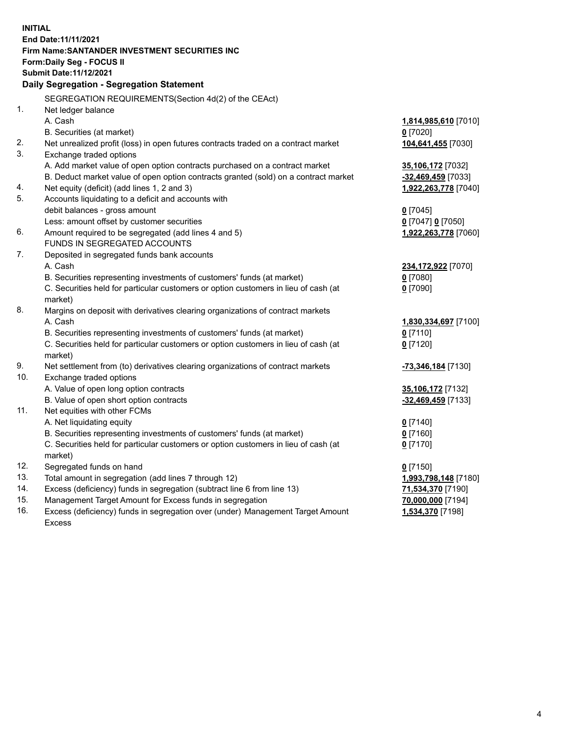| <b>INITIAL</b> |                                                                                                                                                               |                          |  |  |  |
|----------------|---------------------------------------------------------------------------------------------------------------------------------------------------------------|--------------------------|--|--|--|
|                | End Date: 11/11/2021                                                                                                                                          |                          |  |  |  |
|                | Firm Name: SANTANDER INVESTMENT SECURITIES INC                                                                                                                |                          |  |  |  |
|                | Form: Daily Seg - FOCUS II                                                                                                                                    |                          |  |  |  |
|                | Submit Date: 11/12/2021                                                                                                                                       |                          |  |  |  |
|                | Daily Segregation - Segregation Statement                                                                                                                     |                          |  |  |  |
|                | SEGREGATION REQUIREMENTS(Section 4d(2) of the CEAct)                                                                                                          |                          |  |  |  |
| 1.             | Net ledger balance                                                                                                                                            |                          |  |  |  |
|                | A. Cash                                                                                                                                                       | 1,814,985,610 [7010]     |  |  |  |
|                | B. Securities (at market)                                                                                                                                     | $0$ [7020]               |  |  |  |
| 2.             | Net unrealized profit (loss) in open futures contracts traded on a contract market                                                                            | 104,641,455 [7030]       |  |  |  |
| 3.             | Exchange traded options                                                                                                                                       |                          |  |  |  |
|                | A. Add market value of open option contracts purchased on a contract market                                                                                   | 35,106,172 [7032]        |  |  |  |
|                | B. Deduct market value of open option contracts granted (sold) on a contract market                                                                           | -32,469,459 [7033]       |  |  |  |
| 4.             | Net equity (deficit) (add lines 1, 2 and 3)                                                                                                                   | 1,922,263,778 [7040]     |  |  |  |
| 5.             | Accounts liquidating to a deficit and accounts with                                                                                                           |                          |  |  |  |
|                | debit balances - gross amount                                                                                                                                 | $0$ [7045]               |  |  |  |
|                | Less: amount offset by customer securities                                                                                                                    | 0 [7047] 0 [7050]        |  |  |  |
| 6.             | Amount required to be segregated (add lines 4 and 5)                                                                                                          | 1,922,263,778 [7060]     |  |  |  |
|                | FUNDS IN SEGREGATED ACCOUNTS                                                                                                                                  |                          |  |  |  |
| 7.             | Deposited in segregated funds bank accounts                                                                                                                   |                          |  |  |  |
|                | A. Cash                                                                                                                                                       | 234,172,922 [7070]       |  |  |  |
|                | B. Securities representing investments of customers' funds (at market)                                                                                        | $0$ [7080]               |  |  |  |
|                | C. Securities held for particular customers or option customers in lieu of cash (at                                                                           | $0$ [7090]               |  |  |  |
|                | market)                                                                                                                                                       |                          |  |  |  |
| 8.             | Margins on deposit with derivatives clearing organizations of contract markets                                                                                |                          |  |  |  |
|                | A. Cash                                                                                                                                                       | 1,830,334,697 [7100]     |  |  |  |
|                | B. Securities representing investments of customers' funds (at market)                                                                                        | $0$ [7110]               |  |  |  |
|                | C. Securities held for particular customers or option customers in lieu of cash (at                                                                           | $0$ [7120]               |  |  |  |
|                | market)                                                                                                                                                       |                          |  |  |  |
| 9.             | Net settlement from (to) derivatives clearing organizations of contract markets                                                                               | -73,346,184 [7130]       |  |  |  |
| 10.            | Exchange traded options                                                                                                                                       |                          |  |  |  |
|                | A. Value of open long option contracts                                                                                                                        | 35,106,172 [7132]        |  |  |  |
| 11.            | B. Value of open short option contracts                                                                                                                       | -32,469,459 [7133]       |  |  |  |
|                | Net equities with other FCMs                                                                                                                                  |                          |  |  |  |
|                | A. Net liquidating equity                                                                                                                                     | $0$ [7140]               |  |  |  |
|                | B. Securities representing investments of customers' funds (at market)<br>C. Securities held for particular customers or option customers in lieu of cash (at | $0$ [7160]<br>$0$ [7170] |  |  |  |
|                | market)                                                                                                                                                       |                          |  |  |  |
| 12.            | Segregated funds on hand                                                                                                                                      | $0$ [7150]               |  |  |  |
| 13.            | Total amount in segregation (add lines 7 through 12)                                                                                                          | 1,993,798,148 [7180]     |  |  |  |
| 14.            | Excess (deficiency) funds in segregation (subtract line 6 from line 13)                                                                                       | 71,534,370 [7190]        |  |  |  |
| 15.            | Management Target Amount for Excess funds in segregation                                                                                                      | 70,000,000 [7194]        |  |  |  |
| 16.            | Excess (deficiency) funds in segregation over (under) Management Target Amount                                                                                | 1,534,370 [7198]         |  |  |  |
|                | Excess                                                                                                                                                        |                          |  |  |  |